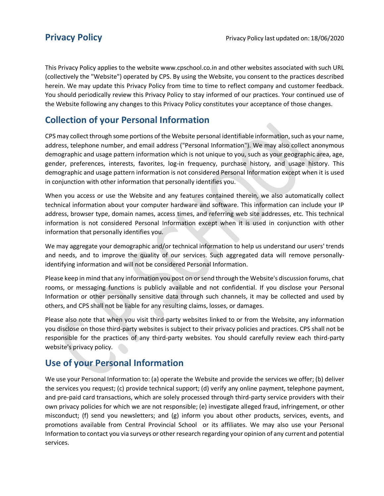This Privacy Policy applies to the website www.cpschool.co.in and other websites associated with such URL (collectively the "Website") operated by CPS. By using the Website, you consent to the practices described herein. We may update this Privacy Policy from time to time to reflect company and customer feedback. You should periodically review this Privacy Policy to stay informed of our practices. Your continued use of the Website following any changes to this Privacy Policy constitutes your acceptance of those changes.

#### **Collection of your Personal Information**

CPS may collect through some portions of the Website personal identifiable information, such as your name, address, telephone number, and email address ("Personal Information"). We may also collect anonymous demographic and usage pattern information which is not unique to you, such as your geographic area, age, gender, preferences, interests, favorites, log-in frequency, purchase history, and usage history. This demographic and usage pattern information is not considered Personal Information except when it is used in conjunction with other information that personally identifies you.

When you access or use the Website and any features contained therein, we also automatically collect technical information about your computer hardware and software. This information can include your IP address, browser type, domain names, access times, and referring web site addresses, etc. This technical information is not considered Personal Information except when it is used in conjunction with other information that personally identifies you.

We may aggregate your demographic and/or technical information to help us understand our users' trends and needs, and to improve the quality of our services. Such aggregated data will remove personallyidentifying information and will not be considered Personal Information.

Please keep in mind that any information you post on or send through the Website's discussion forums, chat rooms, or messaging functions is publicly available and not confidential. If you disclose your Personal Information or other personally sensitive data through such channels, it may be collected and used by others, and CPS shall not be liable for any resulting claims, losses, or damages.

Please also note that when you visit third-party websites linked to or from the Website, any information you disclose on those third-party websites is subject to their privacy policies and practices. CPS shall not be responsible for the practices of any third-party websites. You should carefully review each third-party website's privacy policy.

# **Use of your Personal Information**

We use your Personal Information to: (a) operate the Website and provide the services we offer; (b) deliver the services you request; (c) provide technical support; (d) verify any online payment, telephone payment, and pre-paid card transactions, which are solely processed through third-party service providers with their own privacy policies for which we are not responsible; (e) investigate alleged fraud, infringement, or other misconduct; (f) send you newsletters; and (g) inform you about other products, services, events, and promotions available from Central Provincial School or its affiliates. We may also use your Personal Information to contact you via surveys or other research regarding your opinion of any current and potential services.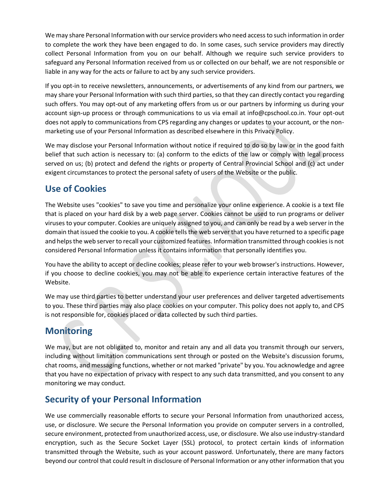We may share Personal Information with our service providers who need access to such information in order to complete the work they have been engaged to do. In some cases, such service providers may directly collect Personal Information from you on our behalf. Although we require such service providers to safeguard any Personal Information received from us or collected on our behalf, we are not responsible or liable in any way for the acts or failure to act by any such service providers.

If you opt-in to receive newsletters, announcements, or advertisements of any kind from our partners, we may share your Personal Information with such third parties, so that they can directly contact you regarding such offers. You may opt-out of any marketing offers from us or our partners by informing us during your account sign-up process or through communications to us via email at info@cpschool.co.in. Your opt-out does not apply to communications from CPS regarding any changes or updates to your account, or the nonmarketing use of your Personal Information as described elsewhere in this Privacy Policy.

We may disclose your Personal Information without notice if required to do so by law or in the good faith belief that such action is necessary to: (a) conform to the edicts of the law or comply with legal process served on us; (b) protect and defend the rights or property of Central Provincial School and (c) act under exigent circumstances to protect the personal safety of users of the Website or the public.

## **Use of Cookies**

The Website uses "cookies" to save you time and personalize your online experience. A cookie is a text file that is placed on your hard disk by a web page server. Cookies cannot be used to run programs or deliver viruses to your computer. Cookies are uniquely assigned to you, and can only be read by a web server in the domain that issued the cookie to you. A cookie tells the web server that you have returned to a specific page and helps the web server to recall your customized features. Information transmitted through cookies is not considered Personal Information unless it contains information that personally identifies you.

You have the ability to accept or decline cookies; please refer to your web browser's instructions. However, if you choose to decline cookies, you may not be able to experience certain interactive features of the Website.

We may use third parties to better understand your user preferences and deliver targeted advertisements to you. These third parties may also place cookies on your computer. This policy does not apply to, and CPS is not responsible for, cookies placed or data collected by such third parties.

# **Monitoring**

We may, but are not obligated to, monitor and retain any and all data you transmit through our servers, including without limitation communications sent through or posted on the Website's discussion forums, chat rooms, and messaging functions, whether or not marked "private" by you. You acknowledge and agree that you have no expectation of privacy with respect to any such data transmitted, and you consent to any monitoring we may conduct.

## **Security of your Personal Information**

We use commercially reasonable efforts to secure your Personal Information from unauthorized access, use, or disclosure. We secure the Personal Information you provide on computer servers in a controlled, secure environment, protected from unauthorized access, use, or disclosure. We also use industry-standard encryption, such as the Secure Socket Layer (SSL) protocol, to protect certain kinds of information transmitted through the Website, such as your account password. Unfortunately, there are many factors beyond our control that could result in disclosure of Personal Information or any other information that you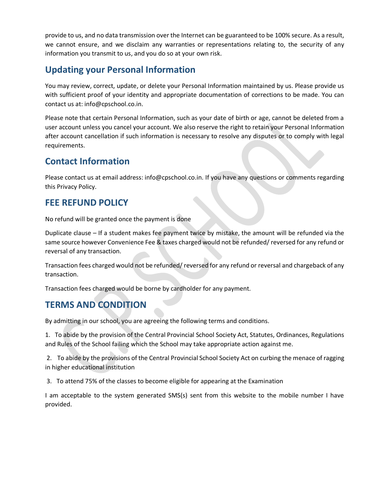provide to us, and no data transmission over the Internet can be guaranteed to be 100% secure. As a result, we cannot ensure, and we disclaim any warranties or representations relating to, the security of any information you transmit to us, and you do so at your own risk.

#### **Updating your Personal Information**

You may review, correct, update, or delete your Personal Information maintained by us. Please provide us with sufficient proof of your identity and appropriate documentation of corrections to be made. You can contact us at: info@cpschool.co.in.

Please note that certain Personal Information, such as your date of birth or age, cannot be deleted from a user account unless you cancel your account. We also reserve the right to retain your Personal Information after account cancellation if such information is necessary to resolve any disputes or to comply with legal requirements.

#### **Contact Information**

Please contact us at email address: info@cpschool.co.in. If you have any questions or comments regarding this Privacy Policy.

#### **FEE REFUND POLICY**

No refund will be granted once the payment is done

Duplicate clause – If a student makes fee payment twice by mistake, the amount will be refunded via the same source however Convenience Fee & taxes charged would not be refunded/ reversed for any refund or reversal of any transaction.

Transaction fees charged would not be refunded/ reversed for any refund or reversal and chargeback of any transaction.

Transaction fees charged would be borne by cardholder for any payment.

## **TERMS AND CONDITION**

By admitting in our school, you are agreeing the following terms and conditions.

1. To abide by the provision of the Central Provincial School Society Act, Statutes, Ordinances, Regulations and Rules of the School failing which the School may take appropriate action against me.

2. To abide by the provisions of the Central Provincial School Society Act on curbing the menace of ragging in higher educational institution

3. To attend 75% of the classes to become eligible for appearing at the Examination

I am acceptable to the system generated SMS(s) sent from this website to the mobile number I have provided.